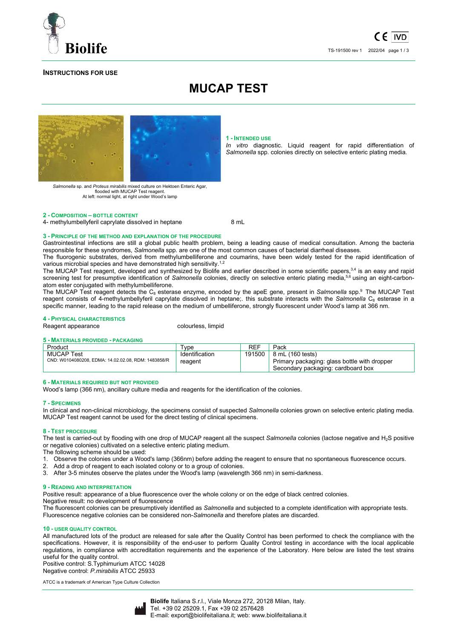

*In vitro* diagnostic. Liquid reagent for rapid differentiation of *Salmonella* spp. colonies directly on selective enteric plating media.

## **INSTRUCTIONS FOR USE**

# **MUCAP TEST**



*Salmonella* sp. and *Proteus mirabilis* mixed culture on Hektoen Enteric Agar, flooded with MUCAP Test reagent. At left: normal light, at right under Wood's lamp

## **2 - COMPOSITION – BOTTLE CONTENT**

4- methylumbellyferil caprylate dissolved in heptane 8 mL

**1 - INTENDED USE**

## **3 - PRINCIPLE OF THE METHOD AND EXPLANATION OF THE PROCEDURE**

Gastrointestinal infections are still a global public health problem, being a leading cause of medical consultation. Among the bacteria responsible for these syndromes, *Salmonella* spp. are one of the most common causes of bacterial diarrheal diseases.

The fluorogenic substrates, derived from methylumbelliferone and coumarins, have been widely tested for the rapid identification of various microbial species and have demonstrated high sensitivity.<sup>1,2</sup>

The MUCAP Test reagent, developed and synthesized by Biolife and earlier described in some scientific papers,<sup>3,4</sup> is an easy and rapid screening test for presumptive identification of Salmonella colonies, directly on selective enteric plating media,<sup>5,6</sup> using an eight-carbonatom ester conjugated with methylumbelliferone.

The MUCAP Test reagent detects the C<sub>8</sub> esterase enzyme, encoded by the apeE gene, present in *Salmonella* spp.<sup>9</sup> The MUCAP Test reagent consists of 4-methylumbellyferil caprylate dissolved in heptane;. this substrate interacts with the *Salmonella* C<sub>8</sub> esterase in a specific manner, Ieading to the rapid release on the medium of umbelliferone, strongly fluorescent under Wood's lamp at 366 nm.

## **4 - PHYSICAL CHARACTERISTICS**

Reagent appearance colourless, limpid

## **5 - MATERIALS PROVIDED - PACKAGING**

| Product                                                                  | vpe                       | REF    | Pack                                                                                                   |
|--------------------------------------------------------------------------|---------------------------|--------|--------------------------------------------------------------------------------------------------------|
| <b>MUCAP Test</b><br>CND: W0104080208, EDMA: 14.02.02.08, RDM: 1483858/R | Identification<br>reagent | 191500 | 8 mL (160 tests)<br>Primary packaging: glass bottle with dropper<br>Secondary packaging: cardboard box |

## **6 - MATERIALS REQUIRED BUT NOT PROVIDED**

Wood's lamp (366 nm), ancillary culture media and reagents for the identification of the colonies.

## **7 - SPECIMENS**

In clinical and non-clinical microbiology, the specimens consist of suspected *Salmonella* colonies grown on selective enteric plating media. MUCAP Test reagent cannot be used for the direct testing of clinical specimens.

#### **8 - TEST PROCEDURE**

The test is carried-out by flooding with one drop of MUCAP reagent all the suspect *Salmonella* colonies (lactose negative and H2S positive or negative colonies) cultivated on a selective enteric plating medium.

The following scheme should be used:

- 1. Observe the colonies under a Wood's lamp (366nm) before adding the reagent to ensure that no spontaneous fluorescence occurs.
- 2. Add a drop of reagent to each isolated colony or to a group of colonies.
- 3. After 3-5 minutes observe the plates under the Wood's lamp (wavelength 366 nm) in semi-darkness.

#### **9 - READING AND INTERPRETATION**

Positive result: appearance of a blue fluorescence over the whole colony or on the edge of black centred colonies.

Negative result: no development of fluorescence

The fluorescent colonies can be presumptively identified as *Salmonella* and subjected to a complete identification with appropriate tests. Fluorescence negative colonies can be considered non-*Salmonella* and therefore plates are discarded.

## **10 - USER QUALITY CONTROL**

All manufactured lots of the product are released for sale after the Quality Control has been performed to check the compliance with the specifications. However, it is responsibility of the end-user to perform Quality Control testing in accordance with the local applicable regulations, in compliance with accreditation requirements and the experience of the Laboratory. Here below are listed the test strains useful for the quality control.

Positive control: S.Typhimurium ATCC 14028 Negative control: *P.mirabilis* ATCC 25933

ATCC is a trademark of American Type Culture Collection

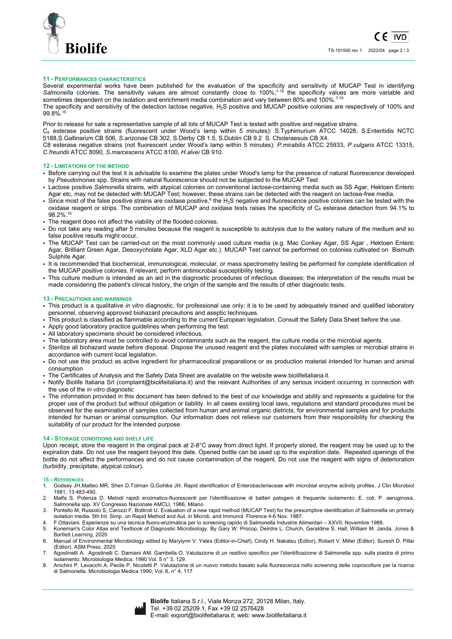

## **11 - PERFORMANCES CHARACTERISTICS**

Several experimental works have been published for the evaluation of the specificity and sensitivity of MUCAP Test in identifying Salmonella colonies. The sensitivity values are almost constantly close to 100%;<sup>7-19</sup> the specificity values are more variable and sometimes dependent on the isolation and enrichment media combination and vary between 80% and 100%.<sup>7-19</sup>

The specificity and sensitivity of the detection lactose negative, H<sub>2</sub>S positive and MUCAP positive colonies are respectively of 100% and 99.8%.<sup>15</sup>

Prior to release for sale a representative sample of all lots of MUCAP Test is tested with positive and negative strains.

C8 esterase positive strains (fluorescent under Wood's lamp within 5 minutes): S.Typhimurium ATCC 14028, S.Enteritidis NCTC 5188,S.Gallinarum CB 506, *S.arizonae* CB 302, S.Derby CB 1.5, S.Dublin CB 9.2 S. Choleraesuis CB X4.

C8 esterase negative strains (not fluorescent under Wood's lamp within 5 minutes): *P.mirabilis* ATCC 25933, *P.vulgaris* ATCC 13315, *C.freundii* ATCC 8090*, S.marcescens* ATCC 8100, *H.alvei* CB 910.

## **12 - LIMITATIONS OF THE METHOD**

- Before carrying out the test it is advisable to examine the plates under Wood's lamp for the presence of natural fluorescence developed by *Pseudomonas* spp. Strains with natural fluorescence should not be subjected to the MUCAP Test
- Lactose positive *Salmonella* strains, with atypical colonies on conventional lactose-containing media such as SS Agar, Hektoen Enteric Agar etc, may not be detected with MUCAP Test; however, these strains can be detected with the reagent on lactose-free media.
- Since most of the false positive strains are oxidase positive,<sup>6</sup> the H<sub>2</sub>S negative and fluorescence positive colonies can be tested with the oxidase reagent or strips. The combination of MUCAP and oxidase tests raises the specificity of  $C_8$  esterase detection from 94.1% to 98.2%.<sup>16</sup>
- The reagent does not affect the viability of the flooded colonies.
- Do not take any reading after 5 minutes because the reagent is susceptible to autolysis due to the watery nature of the medium and so false positive results might occur.
- The MUCAP Test can be carried-out on the most commonly used culture media (e.g. Mac Conkey Agar, SS Agar , Hektoen Enteric Agar, Brilliant Green Agar, Desoxycholate Agar, XLD Agar etc.). MUCAP Test cannot be performed on colonies cultivated on Bismuth Sulphite Agar.
- It is recommended that biochemical, immunological, molecular, or mass spectrometry testing be performed for complete identification of the MUCAP positive colonies. If relevant, perform antimicrobial susceptibility testing.
- This culture medium is intended as an aid in the diagnostic procedures of infectious diseases; the interpretation of the results must be made considering the patient's clinical history, the origin of the sample and the results of other diagnostic tests.

#### **13 - PRECAUTIONS AND WARNINGS**

- This product is a qualitative *in vitro* diagnostic, for professional use only; it is to be used by adequately trained and qualified laboratory personnel, observing approved biohazard precautions and aseptic techniques.
- This product is classified as flammable according to the current European legislation. Consult the Safety Data Sheet before the use.
- Apply good laboratory practice guidelines when performing the test.
- All laboratory specimens should be considered infectious.
- The laboratory area must be controlled to avoid contaminants such as the reagent, the culture media or the microbial agents.
- Sterilize all biohazard waste before disposal. Dispose the unused reagent and the plates inoculated with samples or microbial strains in accordance with current local legislation.
- Do not use this product as active ingredient for pharmaceutical preparations or as production material intended for human and animal consumption
- The Certificates of Analysis and the Safety Data Sheet are available on the website www.biolifeitaliana.it.
- Notify Biolife Italiana Srl (complaint@biolifeitaliana.it) and the relevant Authorities of any serious incident occurring in connection with the use of the *in vitro* diagnostic
- The information provided in this document has been defined to the best of our knowledge and ability and represents a guideline for the proper use of the product but without obligation or liability. In all cases existing local laws, regulations and standard procedures must be observed for the examination of samples collected from human and animal organic districts, for environmental samples and for products intended for human or animal consumption. Our information does not relieve our customers from their responsibility for checking the suitability of our product for the intended purpose.

## **14 - STORAGE CONDITIONS AND SHELF LIFE**

Upon receipt, store the reagent in the original pack at 2-8°C away from direct light. If properly stored, the reagent may be used up to the expiration date. Do not use the reagent beyond this date. Opened bottle can be used up to the expiration date. Repeated openings of the bottle do not affect the performances and do not cause contamination of the reagent. Do not use the reagent with signs of deterioration (turbidity, precipitate, atypical colour).

## **15 – REFERENCES**

- 1. Godsey JH,Matteo MR, Shen D,Tolman G,Gohlke JH. Rapid identification of Enterobacteriaceae with microbial enzyme activity profiles. J Clin Microbiol 1981; 13:483-490.
- 2. Malfa S. Potenza D. Metodi rapidi enzimatico-fluorescenti per l'identificazione di batteri patogeni di frequente isolamento: E. coli, P. aeruginosa, Salmonella spp. XV Congresso Nazionale AMCLI, 1986, Milano
- 3. Pontello M, Russolo S, Carozzi F, Bottiroli U. Evaluation of a new rapid method (MUCAP Test) for the presumptive identification of Salmonella on primary isolation media. 5th Int. Simp. on Rapid Method and Aut. in Microb. and Immunol. Florence 4-6 Nov. 1987.
- 4. F.Ottaviani. Esperienze su una tecnica fluoro-enzimatica per lo screening rapido di Salmonella Industrie Alimentari XXVII, Novembre 1988.
- 5. Koneman's Color Atlas and Textbook of Diagnostic Microbiology. By Gary W. Procop, Deirdre L. Church, Geraldine S. Hall, William M. Janda. Jones & Bartlett Learning, 2020
- 6. Manual of Environmental Microbiology edited by Marylynn V. Yates (Editor-in-Chief), Cindy H. Nakatsu (Editor), Robert V. Miller (Editor), Suresh D. Pillai (Editor). ASM Press, 2020
- 7. Agostinelli A. Agostinelli C. Damiani AM. Gambella O. Valutazione di un reattivo specifico per l'identificazione di Salmonella spp. sulla piastra di primo isolamento. Microbiologia Medica. 1990 Vol. 5 n° 3, 129.
- 8. Anichini P. Lavacchi A. Pecile P. Nicoletti P. Valutazione di un nuovo metodo basato sulla fluorescenza nello screening delle coprocolture per la ricerca di Salmonella. Microbiologia Medica 1990; Vol. 6, n° 4, 117